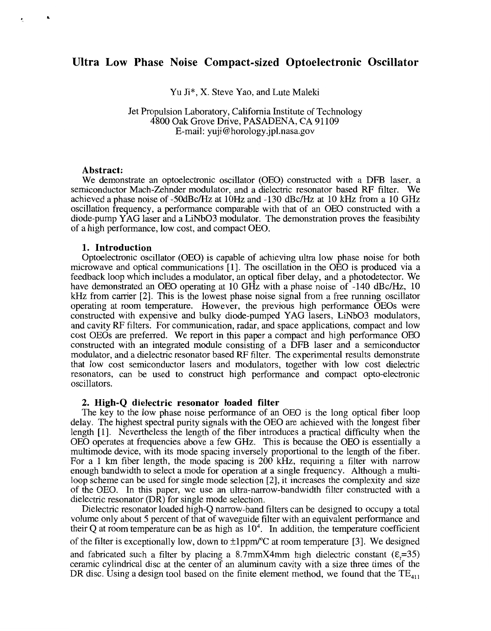# **Ultra Low Phase Noise Compact-sized Optoelectronic Oscillator**

Yu Ji\*, X. Steve Yao, and Lute Maleki

# Jet Propulsion Laboratory, California Institute of Technology 4800 Oak Grove Drive, PASADENA, CA 91 109 E-mail: [yuji@horology.jpl.nasa.gov](mailto:yuji@horology.jpl.nasa.gov)

#### **Abstract:**

**a** 

We demonstrate an optoelectronic oscillator (OEO) constructed with a DFB laser, a semiconductor Mach-Zehnder modulator, and a dielectric resonator based RF filter. We achieved a phase noise of -SOdBc/Hz at 1OHz and -130 dBc/Hz at 10 kHz from a 10 GHz oscillation frequency, a performance comparable with that of an OEO constructed with a diode-pump YAG laser and a LiNb03 modulator. The demonstration proves the feasibility of a high performance, low cost, and compact OEO.

### **1. Introduction**

Optoelectronic oscillator (OEO) is capable of achieving ultra low phase noise for both microwave and optical communications [ 11. The oscillation in the OEO is produced via a feedback loop which includes a modulator, an optical fiber delay, and a photodetector. We have demonstrated an OEO operating at 10 GHz with a phase noise of  $-140$  dBc/Hz, 10  $kHz$  from carrier [2]. This is the lowest phase noise signal from a free running oscillator operating at room temperature. However, the previous high performance OEOs were constructed with expensive and bulky diode-pumped YAG lasers, LiNb03 modulators, and cavity RF filters. For communication, radar, and space applications, compact and low cost OEOs are preferred. We report in this paper a compact and high performance OED constructed with an integrated module consisting of a DFB laser and a semiconductor modulator, and a dielectric resonator based RF filter. The experimental results demonstrate that low cost semiconductor lasers and modulators, together with low cost dielectric resonators, can be used to construct high performance and compact opto-electronic oscillators.

### **2. High-Q dielectric resonator loaded filter**

The key to the low phase noise performance of an OEO is the long optical fiber loop delay. The highest spectral purity signals with the OEO are achieved with the longest fiber length [l]. Nevertheless the length of the fiber introduces a practical difficulty when the OEO operates at frequencies above a few GHz. This is because the OEO is essentially a multimode device, with its mode spacing inversely proportional to the length of the fiber. For a 1 km fiber length, the mode spacing is 200 kHz, requiring a filter with narrow enough bandwidth to select a mode for operation at a single frequency. Although a multiloop scheme can be used for single mode selection [2], it increases the complexity and size of the OEO. In this paper, we use an ultra-narrow-bandwidth filter constructed with a dielectric resonator (DR) for single mode selection.

Dielectric resonator loaded high-Q narrow-band filters can be designed to occupy a total volume only about 5 percent of that of waveguide filter with an equivalent performance and their Q at room temperature can be as high as  $10<sup>4</sup>$ . In addition, the temperature coefficient of the filter is exceptionally low, down to  $\pm 1$  ppm/ $\degree$ C at room temperature [3]. We designed and fabricated such a filter by placing a 8.7mmX4mm high dielectric constant  $(E=35)$ ceramic cylindrical disc at the center of an aluminum cavity with a size three times of the DR disc. Using a design tool based on the finite element method, we found that the  $TE_{411}$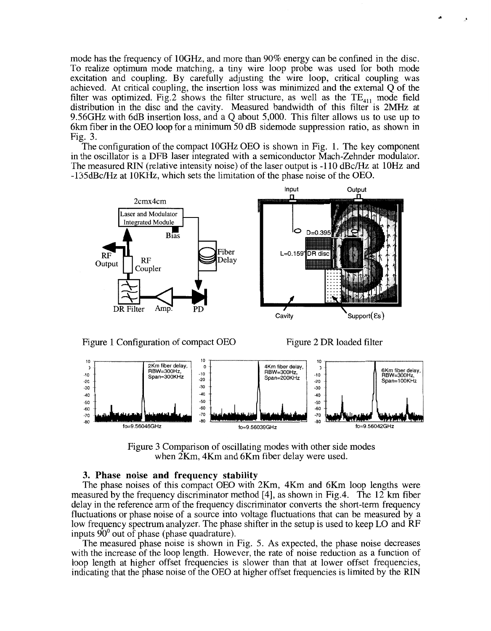mode has the frequency of lOGHz, and more than 90% energy can be confined in the disc. To realize optimum mode matching, a tiny wire loop probe was used for both mode excitation and coupling. By carefully adjusting the wire loop, critical coupling was achieved. At critical coupling, the insertion loss was minimized and the external Q of the filter was optimized. Fig.2 shows the filter structure, as well as the  $TE_{411}$  mode field distribution in the disc and the cavity. Measured bandwidth of this filter is *2MHz* at 9.56GHz with 6dB insertion loss, and a Q about 5,000. This filter allows us to use up to 6km fiber in the OEO loop for a minimum 50 dB sidemode suppression ratio, as shown in Fig. 3.

The configuration of the compact 10GHz OEO is shown in Fig. 1. The key component in the oscillator is a DFB laser integrated with a semiconductor Mach-Zehnder modulator. 'The measured RIN (relative intensity noise) of the laser output is -1 10 dBc/Hz at 10Hz and -lSSdBc/Hz at lOKHz, which sets the limitation of the phase noise of the OEO.



Figure 1 Configuration of compact OEO Figure 2 DR loaded filter



Figure 3 Comparison of oscillating modes with other side modes when 2Km, 4Km and 6Km fiber delay were used.

## **3. Phase noise and frequency stability**

The phase noises of this compact OEO with 2Km, 4Km and 6Km loop lengths were measured by the frequency discriminator method [4], as shown in Fig.4. The 12 km fiber delay in the reference arm of the frequency discriminator converts the short-term frequency fluctuations or phase noise of a source into voltage fluctuations that can be measured by a low frequency spectrum analyzer. The phase shifter in the setup is used to keep LO and RF inputs  $90^{\circ}$  out of phase (phase quadrature).

The measured phase noise is shown in Fig. 5. As expected, the phase noise decreases with the increase of the loop length. However, the rate of noise reduction as a function of loop length at higher offset frequencies is slower than that at lower offset frequencies, indicating that the phase noise of the OEO at higher offset frequencies is limited by the RIN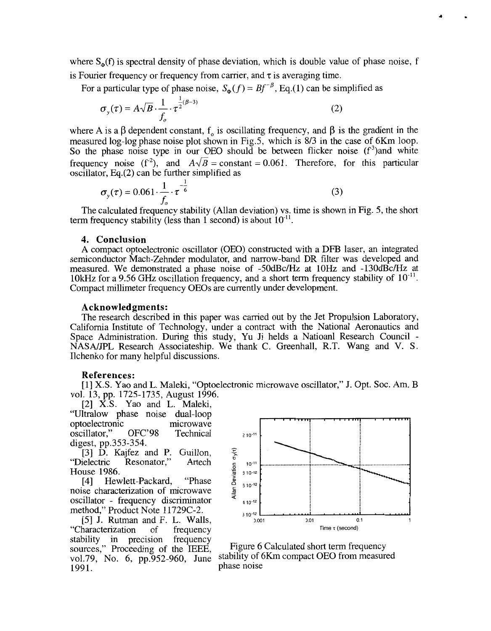where  $S_{\varphi}(f)$  is spectral density of phase deviation, which is double value of phase noise, f is Fourier frequency or frequency from carrier, and  $\tau$  is averaging time.

For a particular type of phase noise,  $S_{\phi}(f) = Bf^{-\beta}$ , Eq.(1) can be simplified as

$$
\sigma_{y}(\tau) = A\sqrt{B} \cdot \frac{1}{f_o} \cdot \tau^{\frac{1}{2}(\beta - 3)}
$$
\n(2)

where A is a  $\beta$  dependent constant, f<sub>o</sub> is oscillating frequency, and  $\beta$  is the gradient in the measured log-log phase noise plot shown in Fig.5, which is 8/3 in the case of 6Km loop. So the phase noise type in our OEO should be between flicker noise  $(f<sup>3</sup>)$  and white frequency noise ( $f^2$ ), and  $A\sqrt{B}$  = constant = 0.061. Therefore, for this particular

oscillator, Eq.(2) can be further simplified as  
\n
$$
\sigma_y(\tau) = 0.061 \cdot \frac{1}{f_o} \cdot \tau^{-\frac{1}{6}}
$$
\n(3)

The calculated frequency stability (Allan deviation) vs. time is shown in Fig. *5,* the short term frequency stability (less than 1 second) is about  $10^{-11}$ .

### **4. Conclusion**

A compact optoelectronic oscillator (OEO) constructed with a DFB laser, an integrated semiconductor Mach-Zehnder modulator, and narrow-band DR filter was developed and measured. We demonstrated a phase noise of -50dBc/Hz at 10Hz and -130dBc/Hz at 10kHz for a 9.56 GHz oscillation frequency, and a short term frequency stability of  $10^{-11}$ . Compact millimeter frequency OEOs are currently under development.

#### **Acknowledgments:**

The research described in this paper was carried out by the Jet Propulsion Laboratory, California Institute of Technology, under a contract with the National Aeronautics and NASA/JPL Research Associateship. We thank C. Greenhall, R.T. Wang and V. S. Ilchenko for many helpful discussions.

#### **References:**

[I] **X.S.** Yao and L. Maleki, "Optoelectronic microwave oscillator," J. Opt. SOC. Am. B vol. 13, pp. 1725-1735, August 1996.

121 **X.S.** Yao and L. Maleki, "Ultralow phase noise dual-loop optoelectronic<br>oscillator," OFC'98 microwave oscillator," OFC'98 Technical digest, pp.353-354.

[3] D. Kajfez and P. Guillon,<br>
"Dielectric Resonator," Artech Resonator," House 1986.<br>[4] Hev

Hewlett-Packard, "Phase noise characterization of microwave oscillator - frequency discriminator method," Product Note 11729C-2.

*[5]* J. Rutman and F. L. Walls, "Characterization of frequency stability in precision frequency sources," Proceeding of the IEEE, vo1.79, No. 6, pp.952-960, June 1991.



Figure 6 Calculated short term frequency stability of 6Km compact OEO from measured phase noise